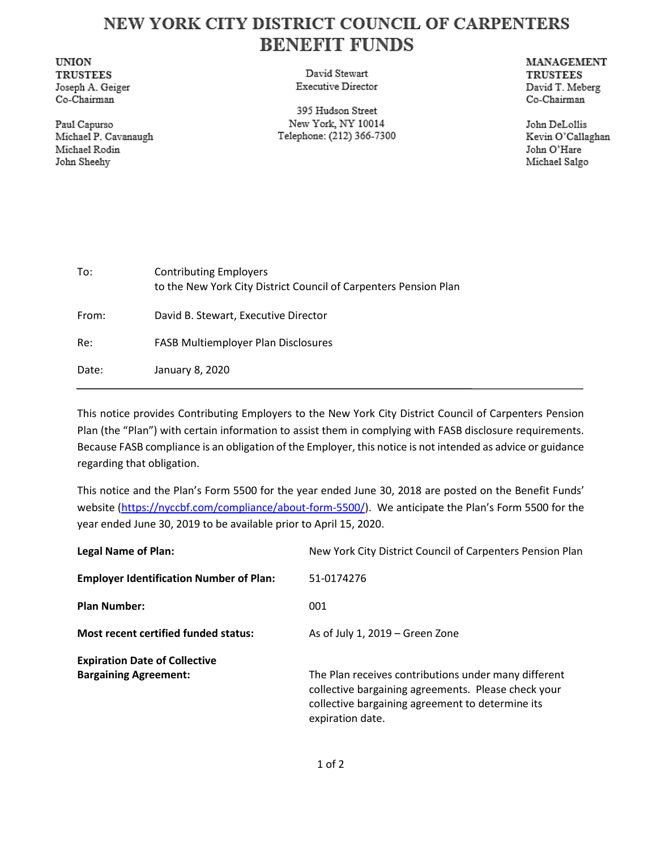## NEW YORK CITY DISTRICT COUNCIL OF CARPENTERS **BENEFIT FUNDS**

**UNION TRUSTEES** Joseph A. Geiger Co-Chairman

Paul Capurso Michael P. Cavanaugh Michael Rodin John Sheehy

David Stewart **Executive Director** 

395 Hudson Street New York, NY 10014 Telephone: (212) 366-7300 **MANAGEMENT TRUSTEES** David T. Meberg Co-Chairman

John DeLollis Kevin O'Callaghan John O'Hare Michael Salgo

| To:   | <b>Contributing Employers</b><br>to the New York City District Council of Carpenters Pension Plan |
|-------|---------------------------------------------------------------------------------------------------|
| From: | David B. Stewart, Executive Director                                                              |
| Re:   | <b>FASB Multiemployer Plan Disclosures</b>                                                        |
| Date: | January 8, 2020                                                                                   |

This notice provides Contributing Employers to the New York City District Council of Carpenters Pension Plan (the "Plan") with certain information to assist them in complying with FASB disclosure requirements. Because FASB compliance is an obligation of the Employer, this notice is not intended as advice or guidance regarding that obligation.

This notice and the Plan's Form 5500 for the year ended June 30, 2018 are posted on the Benefit Funds' website [\(https://nyccbf.com/compliance/about-form-5500/\)](https://nyccbf.com/compliance/about-form-5500/). We anticipate the Plan's Form 5500 for the year ended June 30, 2019 to be available prior to April 15, 2020.

| <b>Legal Name of Plan:</b>                     | New York City District Council of Carpenters Pension Plan                                                                                                                           |
|------------------------------------------------|-------------------------------------------------------------------------------------------------------------------------------------------------------------------------------------|
| <b>Employer Identification Number of Plan:</b> | 51-0174276                                                                                                                                                                          |
| <b>Plan Number:</b>                            | 001                                                                                                                                                                                 |
| <b>Most recent certified funded status:</b>    | As of July 1, 2019 – Green Zone                                                                                                                                                     |
| <b>Expiration Date of Collective</b>           |                                                                                                                                                                                     |
| <b>Bargaining Agreement:</b>                   | The Plan receives contributions under many different<br>collective bargaining agreements. Please check your<br>collective bargaining agreement to determine its<br>expiration date. |